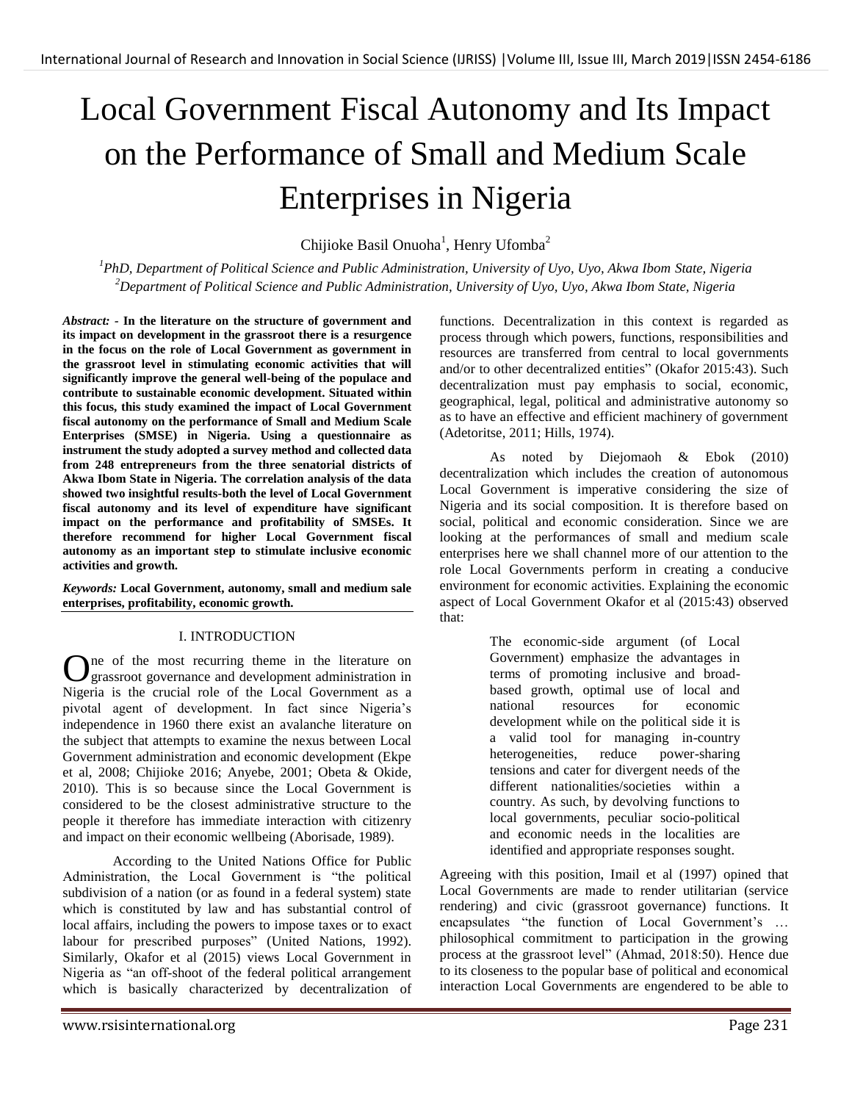# Local Government Fiscal Autonomy and Its Impact on the Performance of Small and Medium Scale Enterprises in Nigeria

Chijioke Basil Onuoha<sup>1</sup>, Henry Ufomba<sup>2</sup>

*<sup>1</sup>PhD, Department of Political Science and Public Administration, University of Uyo, Uyo, Akwa Ibom State, Nigeria <sup>2</sup>Department of Political Science and Public Administration, University of Uyo, Uyo, Akwa Ibom State, Nigeria*

*Abstract: -* **In the literature on the structure of government and its impact on development in the grassroot there is a resurgence in the focus on the role of Local Government as government in the grassroot level in stimulating economic activities that will significantly improve the general well-being of the populace and contribute to sustainable economic development. Situated within this focus, this study examined the impact of Local Government fiscal autonomy on the performance of Small and Medium Scale Enterprises (SMSE) in Nigeria. Using a questionnaire as instrument the study adopted a survey method and collected data from 248 entrepreneurs from the three senatorial districts of Akwa Ibom State in Nigeria. The correlation analysis of the data showed two insightful results-both the level of Local Government fiscal autonomy and its level of expenditure have significant impact on the performance and profitability of SMSEs. It therefore recommend for higher Local Government fiscal autonomy as an important step to stimulate inclusive economic activities and growth.**

*Keywords:* **Local Government, autonomy, small and medium sale enterprises, profitability, economic growth.**

# I. INTRODUCTION

ne of the most recurring theme in the literature on One of the most recurring theme in the literature on grassroot governance and development administration in Nigeria is the crucial role of the Local Government as a pivotal agent of development. In fact since Nigeria's independence in 1960 there exist an avalanche literature on the subject that attempts to examine the nexus between Local Government administration and economic development (Ekpe et al, 2008; Chijioke 2016; Anyebe, 2001; Obeta & Okide, 2010). This is so because since the Local Government is considered to be the closest administrative structure to the people it therefore has immediate interaction with citizenry and impact on their economic wellbeing (Aborisade, 1989).

According to the United Nations Office for Public Administration, the Local Government is "the political subdivision of a nation (or as found in a federal system) state which is constituted by law and has substantial control of local affairs, including the powers to impose taxes or to exact labour for prescribed purposes" (United Nations, 1992). Similarly, Okafor et al (2015) views Local Government in Nigeria as "an off-shoot of the federal political arrangement which is basically characterized by decentralization of functions. Decentralization in this context is regarded as process through which powers, functions, responsibilities and resources are transferred from central to local governments and/or to other decentralized entities" (Okafor 2015:43). Such decentralization must pay emphasis to social, economic, geographical, legal, political and administrative autonomy so as to have an effective and efficient machinery of government (Adetoritse, 2011; Hills, 1974).

As noted by Diejomaoh & Ebok (2010) decentralization which includes the creation of autonomous Local Government is imperative considering the size of Nigeria and its social composition. It is therefore based on social, political and economic consideration. Since we are looking at the performances of small and medium scale enterprises here we shall channel more of our attention to the role Local Governments perform in creating a conducive environment for economic activities. Explaining the economic aspect of Local Government Okafor et al (2015:43) observed that:

> The economic-side argument (of Local Government) emphasize the advantages in terms of promoting inclusive and broadbased growth, optimal use of local and national resources for economic development while on the political side it is a valid tool for managing in-country heterogeneities, reduce power-sharing tensions and cater for divergent needs of the different nationalities/societies within a country. As such, by devolving functions to local governments, peculiar socio-political and economic needs in the localities are identified and appropriate responses sought.

Agreeing with this position, Imail et al (1997) opined that Local Governments are made to render utilitarian (service rendering) and civic (grassroot governance) functions. It encapsulates "the function of Local Government's … philosophical commitment to participation in the growing process at the grassroot level" (Ahmad, 2018:50). Hence due to its closeness to the popular base of political and economical interaction Local Governments are engendered to be able to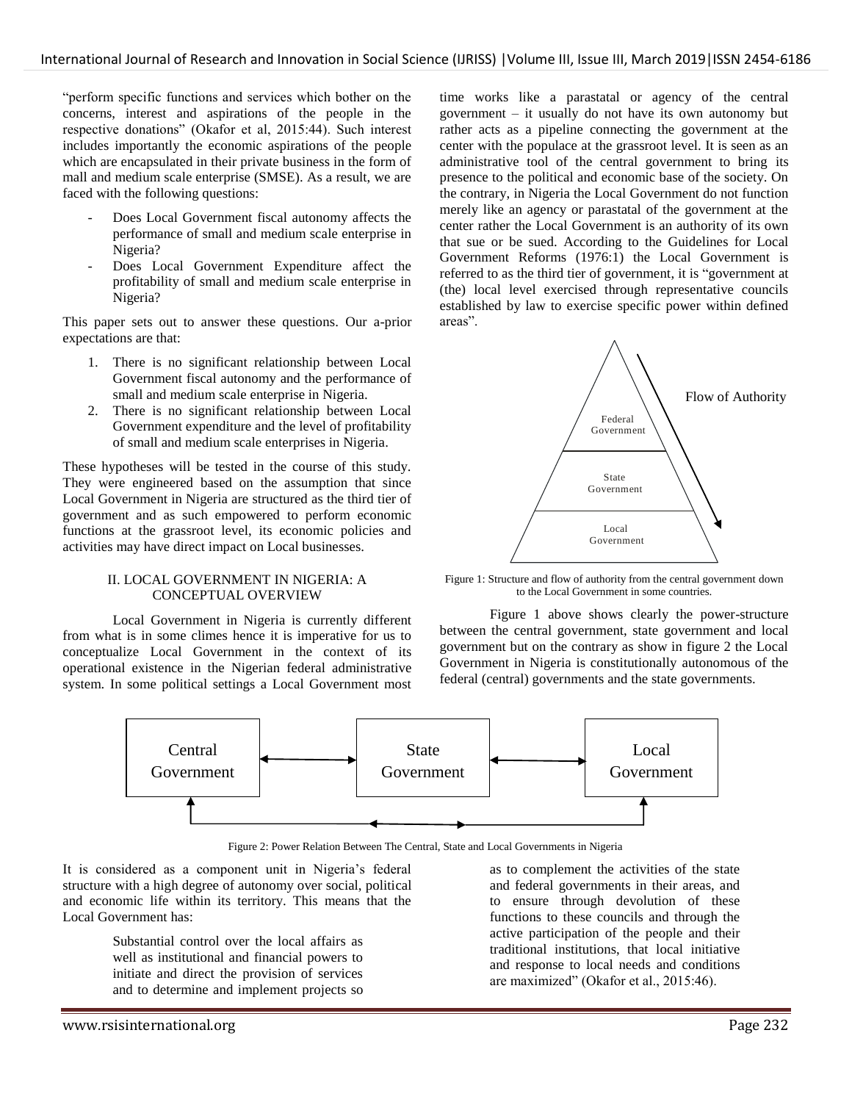"perform specific functions and services which bother on the concerns, interest and aspirations of the people in the respective donations" (Okafor et al, 2015:44). Such interest includes importantly the economic aspirations of the people which are encapsulated in their private business in the form of mall and medium scale enterprise (SMSE). As a result, we are faced with the following questions:

- Does Local Government fiscal autonomy affects the performance of small and medium scale enterprise in Nigeria?
- Does Local Government Expenditure affect the profitability of small and medium scale enterprise in Nigeria?

This paper sets out to answer these questions. Our a-prior expectations are that:

- 1. There is no significant relationship between Local Government fiscal autonomy and the performance of small and medium scale enterprise in Nigeria.
- 2. There is no significant relationship between Local Government expenditure and the level of profitability of small and medium scale enterprises in Nigeria.

These hypotheses will be tested in the course of this study. They were engineered based on the assumption that since Local Government in Nigeria are structured as the third tier of government and as such empowered to perform economic functions at the grassroot level, its economic policies and activities may have direct impact on Local businesses.

#### II. LOCAL GOVERNMENT IN NIGERIA: A CONCEPTUAL OVERVIEW

Local Government in Nigeria is currently different from what is in some climes hence it is imperative for us to conceptualize Local Government in the context of its operational existence in the Nigerian federal administrative system. In some political settings a Local Government most time works like a parastatal or agency of the central government – it usually do not have its own autonomy but rather acts as a pipeline connecting the government at the center with the populace at the grassroot level. It is seen as an administrative tool of the central government to bring its presence to the political and economic base of the society. On the contrary, in Nigeria the Local Government do not function merely like an agency or parastatal of the government at the center rather the Local Government is an authority of its own that sue or be sued. According to the Guidelines for Local Government Reforms (1976:1) the Local Government is referred to as the third tier of government, it is "government at (the) local level exercised through representative councils established by law to exercise specific power within defined areas".



Figure 1: Structure and flow of authority from the central government down to the Local Government in some countries.

Figure 1 above shows clearly the power-structure between the central government, state government and local government but on the contrary as show in figure 2 the Local Government in Nigeria is constitutionally autonomous of the federal (central) governments and the state governments.



Figure 2: Power Relation Between The Central, State and Local Governments in Nigeria

It is considered as a component unit in Nigeria's federal structure with a high degree of autonomy over social, political and economic life within its territory. This means that the Local Government has:

> Substantial control over the local affairs as well as institutional and financial powers to initiate and direct the provision of services and to determine and implement projects so

as to complement the activities of the state and federal governments in their areas, and to ensure through devolution of these functions to these councils and through the active participation of the people and their traditional institutions, that local initiative and response to local needs and conditions are maximized" (Okafor et al., 2015:46).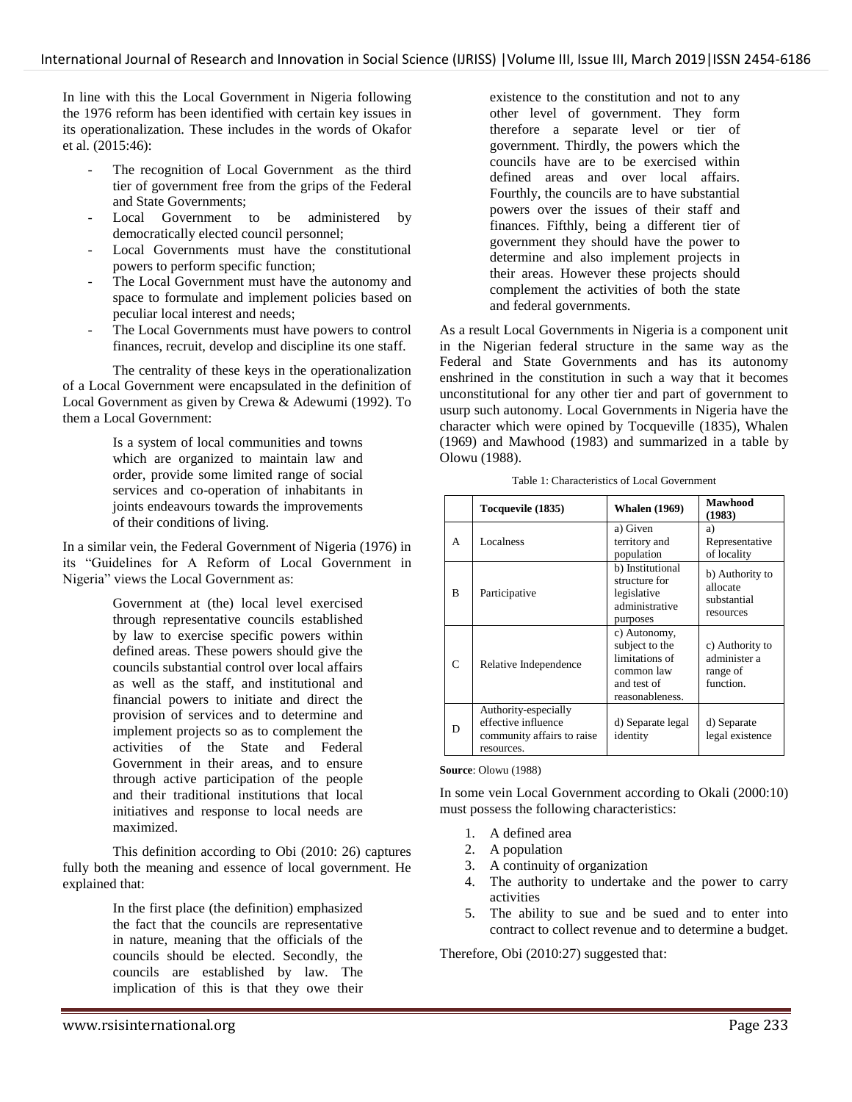In line with this the Local Government in Nigeria following the 1976 reform has been identified with certain key issues in its operationalization. These includes in the words of Okafor et al. (2015:46):

- The recognition of Local Government as the third tier of government free from the grips of the Federal and State Governments;
- Local Government to be administered by democratically elected council personnel;
- Local Governments must have the constitutional powers to perform specific function;
- The Local Government must have the autonomy and space to formulate and implement policies based on peculiar local interest and needs;
- The Local Governments must have powers to control finances, recruit, develop and discipline its one staff.

The centrality of these keys in the operationalization of a Local Government were encapsulated in the definition of Local Government as given by Crewa & Adewumi (1992). To them a Local Government:

> Is a system of local communities and towns which are organized to maintain law and order, provide some limited range of social services and co-operation of inhabitants in joints endeavours towards the improvements of their conditions of living.

In a similar vein, the Federal Government of Nigeria (1976) in its "Guidelines for A Reform of Local Government in Nigeria" views the Local Government as:

> Government at (the) local level exercised through representative councils established by law to exercise specific powers within defined areas. These powers should give the councils substantial control over local affairs as well as the staff, and institutional and financial powers to initiate and direct the provision of services and to determine and implement projects so as to complement the activities of the State and Federal Government in their areas, and to ensure through active participation of the people and their traditional institutions that local initiatives and response to local needs are maximized.

This definition according to Obi (2010: 26) captures fully both the meaning and essence of local government. He explained that:

> In the first place (the definition) emphasized the fact that the councils are representative in nature, meaning that the officials of the councils should be elected. Secondly, the councils are established by law. The implication of this is that they owe their

existence to the constitution and not to any other level of government. They form therefore a separate level or tier of government. Thirdly, the powers which the councils have are to be exercised within defined areas and over local affairs. Fourthly, the councils are to have substantial powers over the issues of their staff and finances. Fifthly, being a different tier of government they should have the power to determine and also implement projects in their areas. However these projects should complement the activities of both the state and federal governments.

As a result Local Governments in Nigeria is a component unit in the Nigerian federal structure in the same way as the Federal and State Governments and has its autonomy enshrined in the constitution in such a way that it becomes unconstitutional for any other tier and part of government to usurp such autonomy. Local Governments in Nigeria have the character which were opined by Tocqueville (1835), Whalen (1969) and Mawhood (1983) and summarized in a table by Olowu (1988).

|   | Tocquevile (1835)                                                                       | <b>Whalen</b> (1969)                                                                             | <b>Mawhood</b><br>(1983)                                 |
|---|-----------------------------------------------------------------------------------------|--------------------------------------------------------------------------------------------------|----------------------------------------------------------|
| A | Localness                                                                               | a) Given<br>territory and<br>population                                                          | a)<br>Representative<br>of locality                      |
| B | Participative                                                                           | b) Institutional<br>structure for<br>legislative<br>administrative<br>purposes                   | b) Authority to<br>allocate<br>substantial<br>resources  |
| C | Relative Independence                                                                   | c) Autonomy,<br>subject to the<br>limitations of<br>common law<br>and test of<br>reasonableness. | c) Authority to<br>administer a<br>range of<br>function. |
| D | Authority-especially<br>effective influence<br>community affairs to raise<br>resources. | d) Separate legal<br>identity                                                                    | d) Separate<br>legal existence                           |

Table 1: Characteristics of Local Government

#### **Source**: Olowu (1988)

In some vein Local Government according to Okali (2000:10) must possess the following characteristics:

- 1. A defined area
- 2. A population
- 3. A continuity of organization
- 4. The authority to undertake and the power to carry activities
- 5. The ability to sue and be sued and to enter into contract to collect revenue and to determine a budget.

Therefore, Obi (2010:27) suggested that: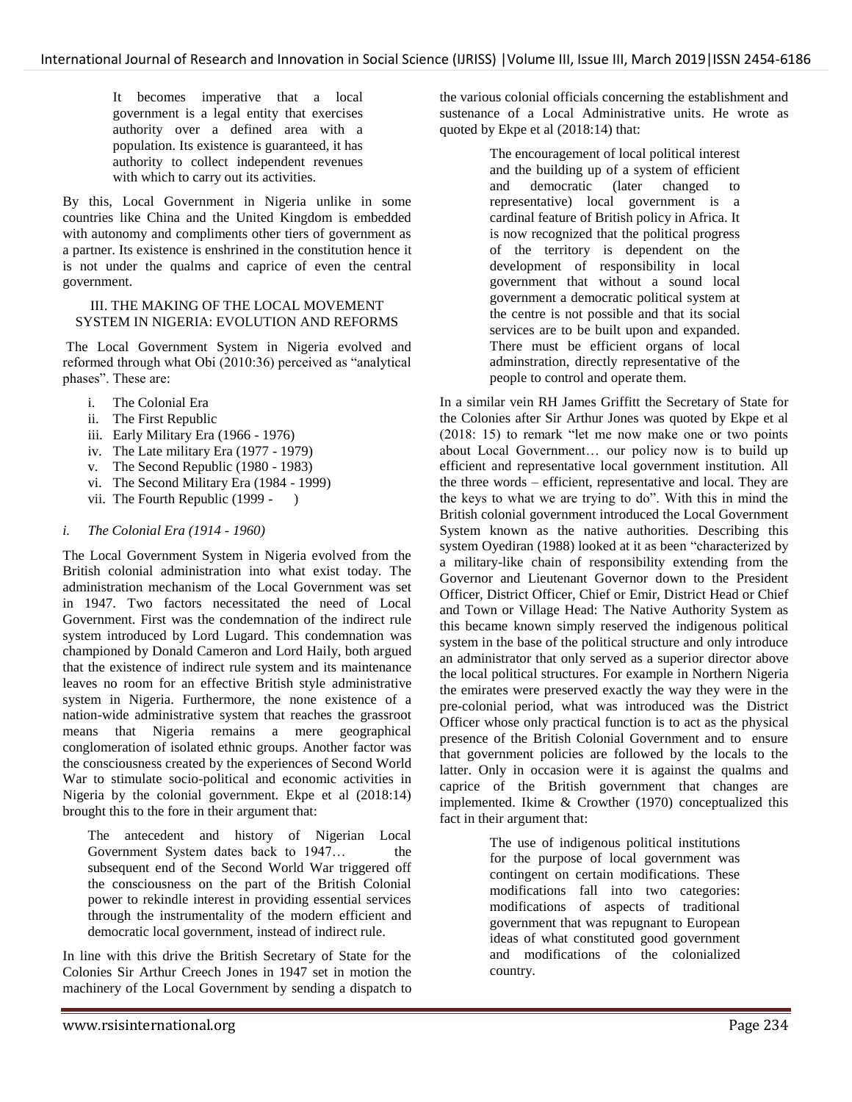It becomes imperative that a local government is a legal entity that exercises authority over a defined area with a population. Its existence is guaranteed, it has authority to collect independent revenues with which to carry out its activities.

By this, Local Government in Nigeria unlike in some countries like China and the United Kingdom is embedded with autonomy and compliments other tiers of government as a partner. Its existence is enshrined in the constitution hence it is not under the qualms and caprice of even the central government.

#### III. THE MAKING OF THE LOCAL MOVEMENT SYSTEM IN NIGERIA: EVOLUTION AND REFORMS

The Local Government System in Nigeria evolved and reformed through what Obi (2010:36) perceived as "analytical phases". These are:

- i. The Colonial Era
- ii. The First Republic
- iii. Early Military Era (1966 1976)
- iv. The Late military Era (1977 1979)
- v. The Second Republic (1980 1983)
- vi. The Second Military Era (1984 1999)
- vii. The Fourth Republic (1999 )

# *i. The Colonial Era (1914 - 1960)*

The Local Government System in Nigeria evolved from the British colonial administration into what exist today. The administration mechanism of the Local Government was set in 1947. Two factors necessitated the need of Local Government. First was the condemnation of the indirect rule system introduced by Lord Lugard. This condemnation was championed by Donald Cameron and Lord Haily, both argued that the existence of indirect rule system and its maintenance leaves no room for an effective British style administrative system in Nigeria. Furthermore, the none existence of a nation-wide administrative system that reaches the grassroot means that Nigeria remains a mere geographical conglomeration of isolated ethnic groups. Another factor was the consciousness created by the experiences of Second World War to stimulate socio-political and economic activities in Nigeria by the colonial government. Ekpe et al (2018:14) brought this to the fore in their argument that:

The antecedent and history of Nigerian Local Government System dates back to 1947... the subsequent end of the Second World War triggered off the consciousness on the part of the British Colonial power to rekindle interest in providing essential services through the instrumentality of the modern efficient and democratic local government, instead of indirect rule.

In line with this drive the British Secretary of State for the Colonies Sir Arthur Creech Jones in 1947 set in motion the machinery of the Local Government by sending a dispatch to The encouragement of local political interest and the building up of a system of efficient and democratic (later changed to representative) local government is a cardinal feature of British policy in Africa. It is now recognized that the political progress of the territory is dependent on the development of responsibility in local government that without a sound local government a democratic political system at the centre is not possible and that its social services are to be built upon and expanded. There must be efficient organs of local adminstration, directly representative of the people to control and operate them.

In a similar vein RH James Griffitt the Secretary of State for the Colonies after Sir Arthur Jones was quoted by Ekpe et al (2018: 15) to remark "let me now make one or two points about Local Government… our policy now is to build up efficient and representative local government institution. All the three words – efficient, representative and local. They are the keys to what we are trying to do". With this in mind the British colonial government introduced the Local Government System known as the native authorities. Describing this system Oyediran (1988) looked at it as been "characterized by a military-like chain of responsibility extending from the Governor and Lieutenant Governor down to the President Officer, District Officer, Chief or Emir, District Head or Chief and Town or Village Head: The Native Authority System as this became known simply reserved the indigenous political system in the base of the political structure and only introduce an administrator that only served as a superior director above the local political structures. For example in Northern Nigeria the emirates were preserved exactly the way they were in the pre-colonial period, what was introduced was the District Officer whose only practical function is to act as the physical presence of the British Colonial Government and to ensure that government policies are followed by the locals to the latter. Only in occasion were it is against the qualms and caprice of the British government that changes are implemented. Ikime & Crowther (1970) conceptualized this fact in their argument that:

> The use of indigenous political institutions for the purpose of local government was contingent on certain modifications. These modifications fall into two categories: modifications of aspects of traditional government that was repugnant to European ideas of what constituted good government and modifications of the colonialized country.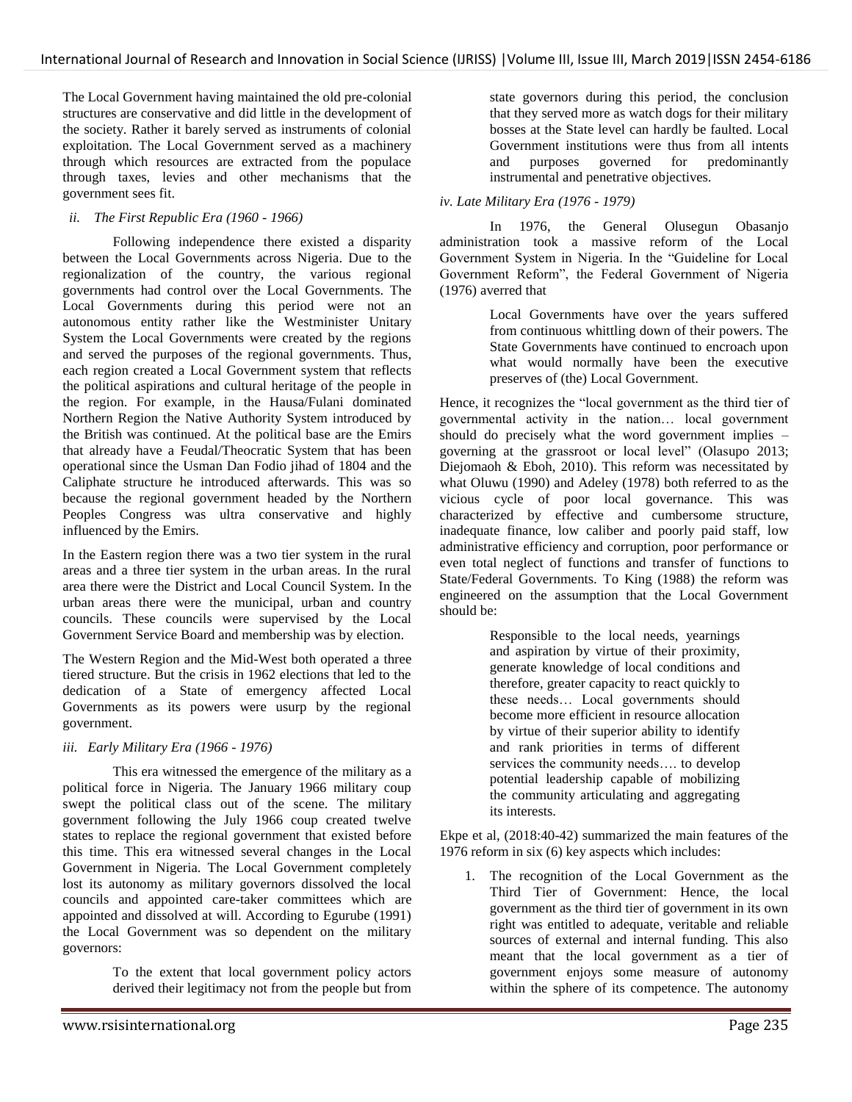The Local Government having maintained the old pre-colonial structures are conservative and did little in the development of the society. Rather it barely served as instruments of colonial exploitation. The Local Government served as a machinery through which resources are extracted from the populace through taxes, levies and other mechanisms that the government sees fit.

# *ii. The First Republic Era (1960 - 1966)*

Following independence there existed a disparity between the Local Governments across Nigeria. Due to the regionalization of the country, the various regional governments had control over the Local Governments. The Local Governments during this period were not an autonomous entity rather like the Westminister Unitary System the Local Governments were created by the regions and served the purposes of the regional governments. Thus, each region created a Local Government system that reflects the political aspirations and cultural heritage of the people in the region. For example, in the Hausa/Fulani dominated Northern Region the Native Authority System introduced by the British was continued. At the political base are the Emirs that already have a Feudal/Theocratic System that has been operational since the Usman Dan Fodio jihad of 1804 and the Caliphate structure he introduced afterwards. This was so because the regional government headed by the Northern Peoples Congress was ultra conservative and highly influenced by the Emirs.

In the Eastern region there was a two tier system in the rural areas and a three tier system in the urban areas. In the rural area there were the District and Local Council System. In the urban areas there were the municipal, urban and country councils. These councils were supervised by the Local Government Service Board and membership was by election.

The Western Region and the Mid-West both operated a three tiered structure. But the crisis in 1962 elections that led to the dedication of a State of emergency affected Local Governments as its powers were usurp by the regional government.

# *iii. Early Military Era (1966 - 1976)*

This era witnessed the emergence of the military as a political force in Nigeria. The January 1966 military coup swept the political class out of the scene. The military government following the July 1966 coup created twelve states to replace the regional government that existed before this time. This era witnessed several changes in the Local Government in Nigeria. The Local Government completely lost its autonomy as military governors dissolved the local councils and appointed care-taker committees which are appointed and dissolved at will. According to Egurube (1991) the Local Government was so dependent on the military governors:

> To the extent that local government policy actors derived their legitimacy not from the people but from

state governors during this period, the conclusion that they served more as watch dogs for their military bosses at the State level can hardly be faulted. Local Government institutions were thus from all intents and purposes governed for predominantly instrumental and penetrative objectives.

# *iv. Late Military Era (1976 - 1979)*

In 1976, the General Olusegun Obasanjo administration took a massive reform of the Local Government System in Nigeria. In the "Guideline for Local Government Reform", the Federal Government of Nigeria (1976) averred that

> Local Governments have over the years suffered from continuous whittling down of their powers. The State Governments have continued to encroach upon what would normally have been the executive preserves of (the) Local Government.

Hence, it recognizes the "local government as the third tier of governmental activity in the nation… local government should do precisely what the word government implies – governing at the grassroot or local level" (Olasupo 2013; Diejomaoh & Eboh, 2010). This reform was necessitated by what Oluwu (1990) and Adeley (1978) both referred to as the vicious cycle of poor local governance. This was characterized by effective and cumbersome structure, inadequate finance, low caliber and poorly paid staff, low administrative efficiency and corruption, poor performance or even total neglect of functions and transfer of functions to State/Federal Governments. To King (1988) the reform was engineered on the assumption that the Local Government should be:

> Responsible to the local needs, yearnings and aspiration by virtue of their proximity, generate knowledge of local conditions and therefore, greater capacity to react quickly to these needs… Local governments should become more efficient in resource allocation by virtue of their superior ability to identify and rank priorities in terms of different services the community needs…. to develop potential leadership capable of mobilizing the community articulating and aggregating its interests.

Ekpe et al, (2018:40-42) summarized the main features of the 1976 reform in six (6) key aspects which includes:

1. The recognition of the Local Government as the Third Tier of Government: Hence, the local government as the third tier of government in its own right was entitled to adequate, veritable and reliable sources of external and internal funding. This also meant that the local government as a tier of government enjoys some measure of autonomy within the sphere of its competence. The autonomy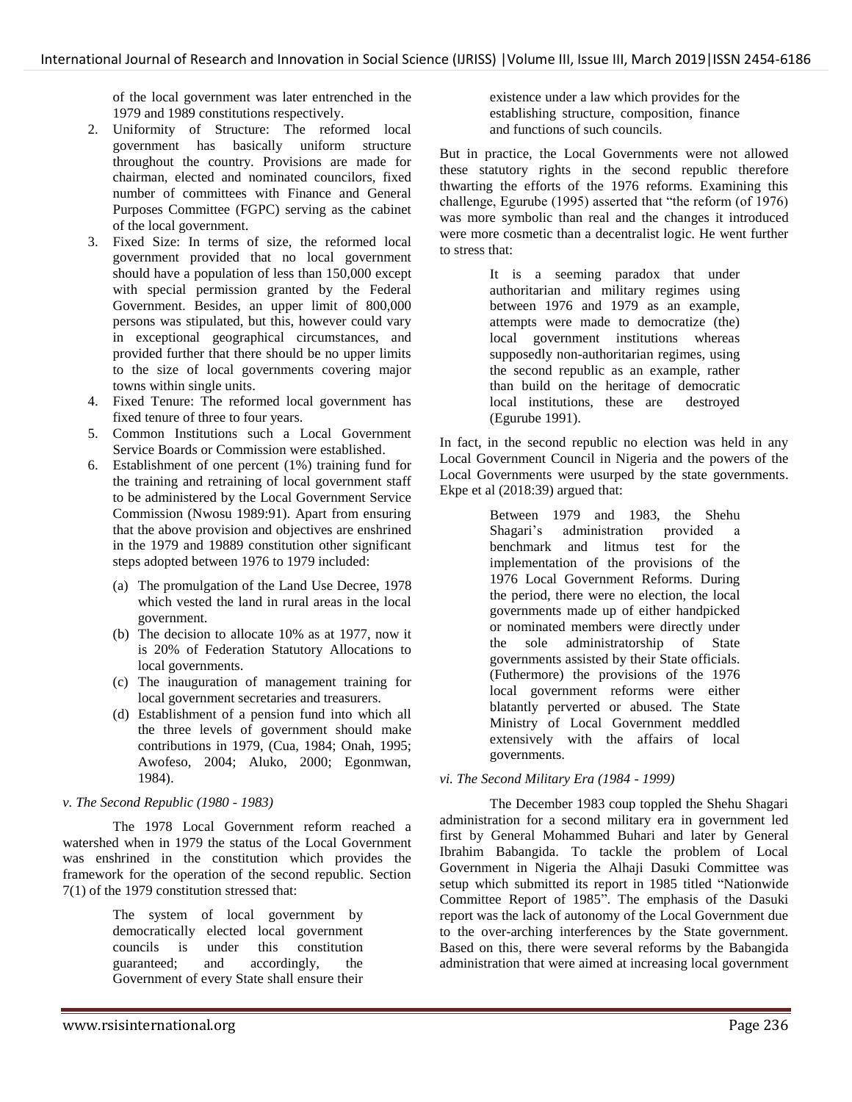of the local government was later entrenched in the 1979 and 1989 constitutions respectively.

- 2. Uniformity of Structure: The reformed local government has basically uniform structure throughout the country. Provisions are made for chairman, elected and nominated councilors, fixed number of committees with Finance and General Purposes Committee (FGPC) serving as the cabinet of the local government.
- 3. Fixed Size: In terms of size, the reformed local government provided that no local government should have a population of less than 150,000 except with special permission granted by the Federal Government. Besides, an upper limit of 800,000 persons was stipulated, but this, however could vary in exceptional geographical circumstances, and provided further that there should be no upper limits to the size of local governments covering major towns within single units.
- 4. Fixed Tenure: The reformed local government has fixed tenure of three to four years.
- 5. Common Institutions such a Local Government Service Boards or Commission were established.
- 6. Establishment of one percent (1%) training fund for the training and retraining of local government staff to be administered by the Local Government Service Commission (Nwosu 1989:91). Apart from ensuring that the above provision and objectives are enshrined in the 1979 and 19889 constitution other significant steps adopted between 1976 to 1979 included:
	- (a) The promulgation of the Land Use Decree, 1978 which vested the land in rural areas in the local government.
	- (b) The decision to allocate 10% as at 1977, now it is 20% of Federation Statutory Allocations to local governments.
	- (c) The inauguration of management training for local government secretaries and treasurers.
	- (d) Establishment of a pension fund into which all the three levels of government should make contributions in 1979, (Cua, 1984; Onah, 1995; Awofeso, 2004; Aluko, 2000; Egonmwan, 1984).

# *v. The Second Republic (1980 - 1983)*

The 1978 Local Government reform reached a watershed when in 1979 the status of the Local Government was enshrined in the constitution which provides the framework for the operation of the second republic. Section 7(1) of the 1979 constitution stressed that:

> The system of local government by democratically elected local government councils is under this constitution guaranteed; and accordingly, the Government of every State shall ensure their

existence under a law which provides for the establishing structure, composition, finance and functions of such councils.

But in practice, the Local Governments were not allowed these statutory rights in the second republic therefore thwarting the efforts of the 1976 reforms. Examining this challenge, Egurube (1995) asserted that "the reform (of 1976) was more symbolic than real and the changes it introduced were more cosmetic than a decentralist logic. He went further to stress that:

> It is a seeming paradox that under authoritarian and military regimes using between 1976 and 1979 as an example, attempts were made to democratize (the) local government institutions whereas supposedly non-authoritarian regimes, using the second republic as an example, rather than build on the heritage of democratic local institutions, these are destroyed (Egurube 1991).

In fact, in the second republic no election was held in any Local Government Council in Nigeria and the powers of the Local Governments were usurped by the state governments. Ekpe et al (2018:39) argued that:

> Between 1979 and 1983, the Shehu Shagari's administration provided a benchmark and litmus test for the implementation of the provisions of the 1976 Local Government Reforms. During the period, there were no election, the local governments made up of either handpicked or nominated members were directly under the sole administratorship of State governments assisted by their State officials. (Futhermore) the provisions of the 1976 local government reforms were either blatantly perverted or abused. The State Ministry of Local Government meddled extensively with the affairs of local governments.

# *vi. The Second Military Era (1984 - 1999)*

The December 1983 coup toppled the Shehu Shagari administration for a second military era in government led first by General Mohammed Buhari and later by General Ibrahim Babangida. To tackle the problem of Local Government in Nigeria the Alhaji Dasuki Committee was setup which submitted its report in 1985 titled "Nationwide Committee Report of 1985". The emphasis of the Dasuki report was the lack of autonomy of the Local Government due to the over-arching interferences by the State government. Based on this, there were several reforms by the Babangida administration that were aimed at increasing local government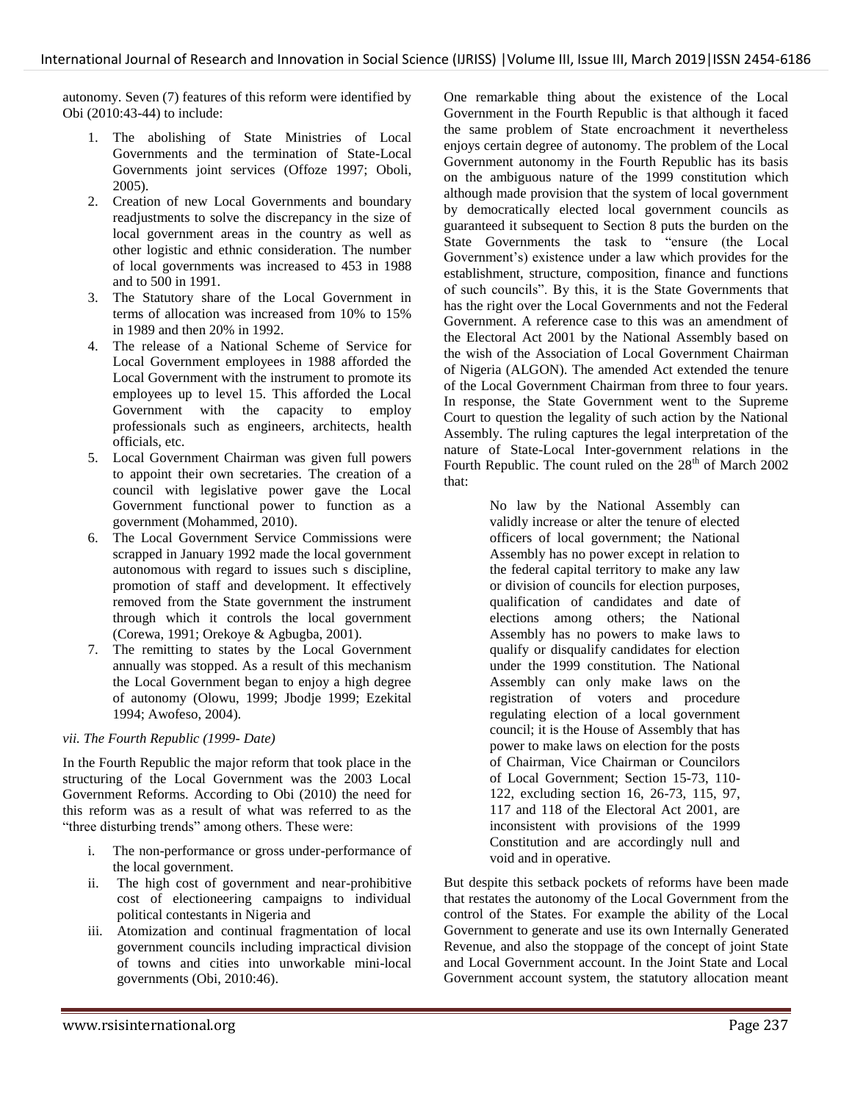autonomy. Seven (7) features of this reform were identified by Obi (2010:43-44) to include:

- 1. The abolishing of State Ministries of Local Governments and the termination of State-Local Governments joint services (Offoze 1997; Oboli, 2005).
- 2. Creation of new Local Governments and boundary readjustments to solve the discrepancy in the size of local government areas in the country as well as other logistic and ethnic consideration. The number of local governments was increased to 453 in 1988 and to 500 in 1991.
- 3. The Statutory share of the Local Government in terms of allocation was increased from 10% to 15% in 1989 and then 20% in 1992.
- 4. The release of a National Scheme of Service for Local Government employees in 1988 afforded the Local Government with the instrument to promote its employees up to level 15. This afforded the Local Government with the capacity to employ professionals such as engineers, architects, health officials, etc.
- 5. Local Government Chairman was given full powers to appoint their own secretaries. The creation of a council with legislative power gave the Local Government functional power to function as a government (Mohammed, 2010).
- 6. The Local Government Service Commissions were scrapped in January 1992 made the local government autonomous with regard to issues such s discipline, promotion of staff and development. It effectively removed from the State government the instrument through which it controls the local government (Corewa, 1991; Orekoye & Agbugba, 2001).
- 7. The remitting to states by the Local Government annually was stopped. As a result of this mechanism the Local Government began to enjoy a high degree of autonomy (Olowu, 1999; Jbodje 1999; Ezekital 1994; Awofeso, 2004).

# *vii. The Fourth Republic (1999- Date)*

In the Fourth Republic the major reform that took place in the structuring of the Local Government was the 2003 Local Government Reforms. According to Obi (2010) the need for this reform was as a result of what was referred to as the "three disturbing trends" among others. These were:

- i. The non-performance or gross under-performance of the local government.
- ii. The high cost of government and near-prohibitive cost of electioneering campaigns to individual political contestants in Nigeria and
- iii. Atomization and continual fragmentation of local government councils including impractical division of towns and cities into unworkable mini-local governments (Obi, 2010:46).

One remarkable thing about the existence of the Local Government in the Fourth Republic is that although it faced the same problem of State encroachment it nevertheless enjoys certain degree of autonomy. The problem of the Local Government autonomy in the Fourth Republic has its basis on the ambiguous nature of the 1999 constitution which although made provision that the system of local government by democratically elected local government councils as guaranteed it subsequent to Section 8 puts the burden on the State Governments the task to "ensure (the Local Government's) existence under a law which provides for the establishment, structure, composition, finance and functions of such councils". By this, it is the State Governments that has the right over the Local Governments and not the Federal Government. A reference case to this was an amendment of the Electoral Act 2001 by the National Assembly based on the wish of the Association of Local Government Chairman of Nigeria (ALGON). The amended Act extended the tenure of the Local Government Chairman from three to four years. In response, the State Government went to the Supreme Court to question the legality of such action by the National Assembly. The ruling captures the legal interpretation of the nature of State-Local Inter-government relations in the Fourth Republic. The count ruled on the 28<sup>th</sup> of March 2002 that:

> No law by the National Assembly can validly increase or alter the tenure of elected officers of local government; the National Assembly has no power except in relation to the federal capital territory to make any law or division of councils for election purposes, qualification of candidates and date of elections among others; the National Assembly has no powers to make laws to qualify or disqualify candidates for election under the 1999 constitution. The National Assembly can only make laws on the registration of voters and procedure regulating election of a local government council; it is the House of Assembly that has power to make laws on election for the posts of Chairman, Vice Chairman or Councilors of Local Government; Section 15-73, 110- 122, excluding section 16, 26-73, 115, 97, 117 and 118 of the Electoral Act 2001, are inconsistent with provisions of the 1999 Constitution and are accordingly null and void and in operative.

But despite this setback pockets of reforms have been made that restates the autonomy of the Local Government from the control of the States. For example the ability of the Local Government to generate and use its own Internally Generated Revenue, and also the stoppage of the concept of joint State and Local Government account. In the Joint State and Local Government account system, the statutory allocation meant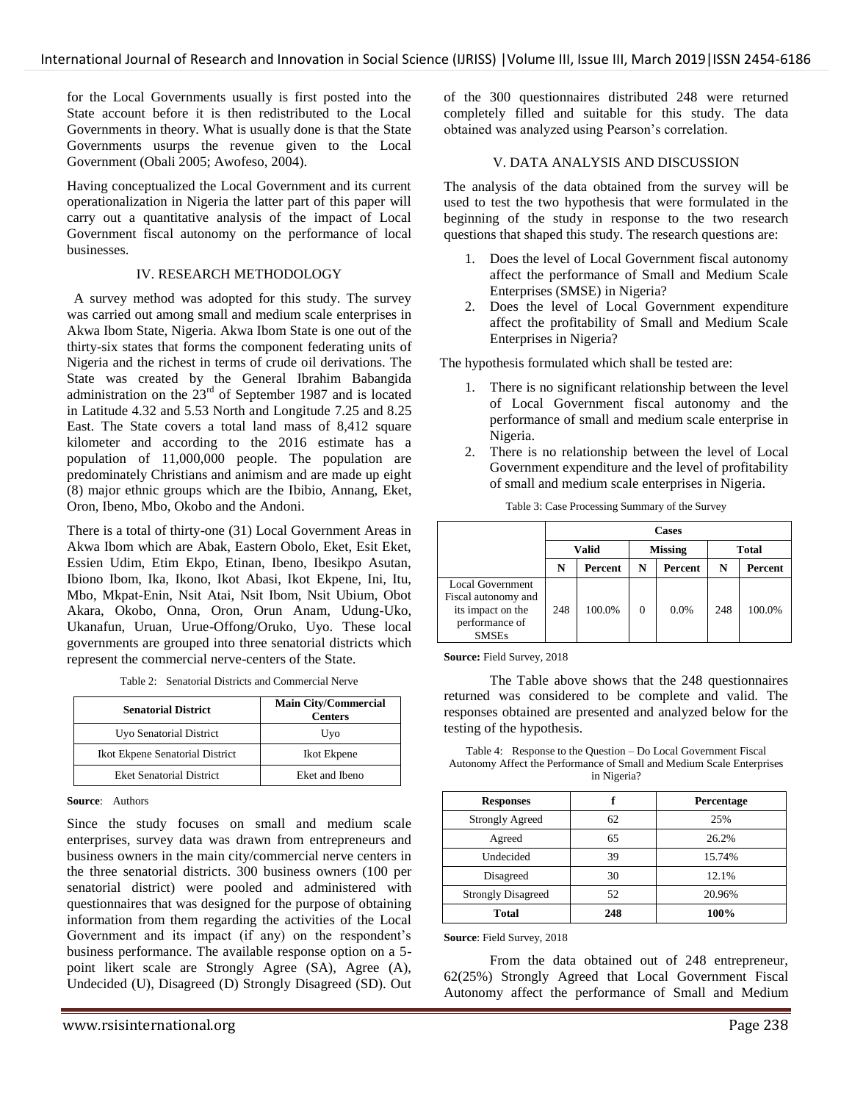for the Local Governments usually is first posted into the State account before it is then redistributed to the Local Governments in theory. What is usually done is that the State Governments usurps the revenue given to the Local Government (Obali 2005; Awofeso, 2004).

Having conceptualized the Local Government and its current operationalization in Nigeria the latter part of this paper will carry out a quantitative analysis of the impact of Local Government fiscal autonomy on the performance of local businesses.

# IV. RESEARCH METHODOLOGY

 A survey method was adopted for this study. The survey was carried out among small and medium scale enterprises in Akwa Ibom State, Nigeria. Akwa Ibom State is one out of the thirty-six states that forms the component federating units of Nigeria and the richest in terms of crude oil derivations. The State was created by the General Ibrahim Babangida administration on the 23rd of September 1987 and is located in Latitude 4.32 and 5.53 North and Longitude 7.25 and 8.25 East. The State covers a total land mass of 8,412 square kilometer and according to the 2016 estimate has a population of 11,000,000 people. The population are predominately Christians and animism and are made up eight (8) major ethnic groups which are the Ibibio, Annang, Eket, Oron, Ibeno, Mbo, Okobo and the Andoni.

There is a total of thirty-one (31) Local Government Areas in Akwa Ibom which are Abak, Eastern Obolo, Eket, Esit Eket, Essien Udim, Etim Ekpo, Etinan, Ibeno, Ibesikpo Asutan, Ibiono Ibom, Ika, Ikono, Ikot Abasi, Ikot Ekpene, Ini, Itu, Mbo, Mkpat-Enin, Nsit Atai, Nsit Ibom, Nsit Ubium, Obot Akara, Okobo, Onna, Oron, Orun Anam, Udung-Uko, Ukanafun, Uruan, Urue-Offong/Oruko, Uyo. These local governments are grouped into three senatorial districts which represent the commercial nerve-centers of the State.

| Table 2: Senatorial Districts and Commercial Nerve |
|----------------------------------------------------|
|----------------------------------------------------|

| <b>Senatorial District</b>      | <b>Main City/Commercial</b><br><b>Centers</b> |  |
|---------------------------------|-----------------------------------------------|--|
| Uyo Senatorial District         | Uyo                                           |  |
| Ikot Ekpene Senatorial District | Ikot Ekpene                                   |  |
| <b>Eket Senatorial District</b> | Eket and Ibeno                                |  |

**Source**: Authors

Since the study focuses on small and medium scale enterprises, survey data was drawn from entrepreneurs and business owners in the main city/commercial nerve centers in the three senatorial districts. 300 business owners (100 per senatorial district) were pooled and administered with questionnaires that was designed for the purpose of obtaining information from them regarding the activities of the Local Government and its impact (if any) on the respondent's business performance. The available response option on a 5 point likert scale are Strongly Agree (SA), Agree (A), Undecided (U), Disagreed (D) Strongly Disagreed (SD). Out of the 300 questionnaires distributed 248 were returned completely filled and suitable for this study. The data obtained was analyzed using Pearson's correlation.

#### V. DATA ANALYSIS AND DISCUSSION

The analysis of the data obtained from the survey will be used to test the two hypothesis that were formulated in the beginning of the study in response to the two research questions that shaped this study. The research questions are:

- 1. Does the level of Local Government fiscal autonomy affect the performance of Small and Medium Scale Enterprises (SMSE) in Nigeria?
- 2. Does the level of Local Government expenditure affect the profitability of Small and Medium Scale Enterprises in Nigeria?

The hypothesis formulated which shall be tested are:

- 1. There is no significant relationship between the level of Local Government fiscal autonomy and the performance of small and medium scale enterprise in Nigeria.
- 2. There is no relationship between the level of Local Government expenditure and the level of profitability of small and medium scale enterprises in Nigeria.

|                                                                                                       | <b>Cases</b> |                |                |         |              |         |
|-------------------------------------------------------------------------------------------------------|--------------|----------------|----------------|---------|--------------|---------|
|                                                                                                       | <b>Valid</b> |                | <b>Missing</b> |         | <b>Total</b> |         |
|                                                                                                       | N            | <b>Percent</b> | N              | Percent | N            | Percent |
| <b>Local Government</b><br>Fiscal autonomy and<br>its impact on the<br>performance of<br><b>SMSEs</b> | 248          | 100.0%         |                | $0.0\%$ | 248          | 100.0%  |

Table 3: Case Processing Summary of the Survey

**Source:** Field Survey, 2018

The Table above shows that the 248 questionnaires returned was considered to be complete and valid. The responses obtained are presented and analyzed below for the testing of the hypothesis.

Table 4: Response to the Question – Do Local Government Fiscal Autonomy Affect the Performance of Small and Medium Scale Enterprises in Nigeria?

| <b>Responses</b>          |     | Percentage |  |
|---------------------------|-----|------------|--|
| <b>Strongly Agreed</b>    | 62  | 25%        |  |
| Agreed                    | 65  | 26.2%      |  |
| Undecided                 | 39  | 15.74%     |  |
| Disagreed                 | 30  | 12.1%      |  |
| <b>Strongly Disagreed</b> | 52  | 20.96%     |  |
| Total                     | 248 | 100%       |  |

**Source**: Field Survey, 2018

From the data obtained out of 248 entrepreneur, 62(25%) Strongly Agreed that Local Government Fiscal Autonomy affect the performance of Small and Medium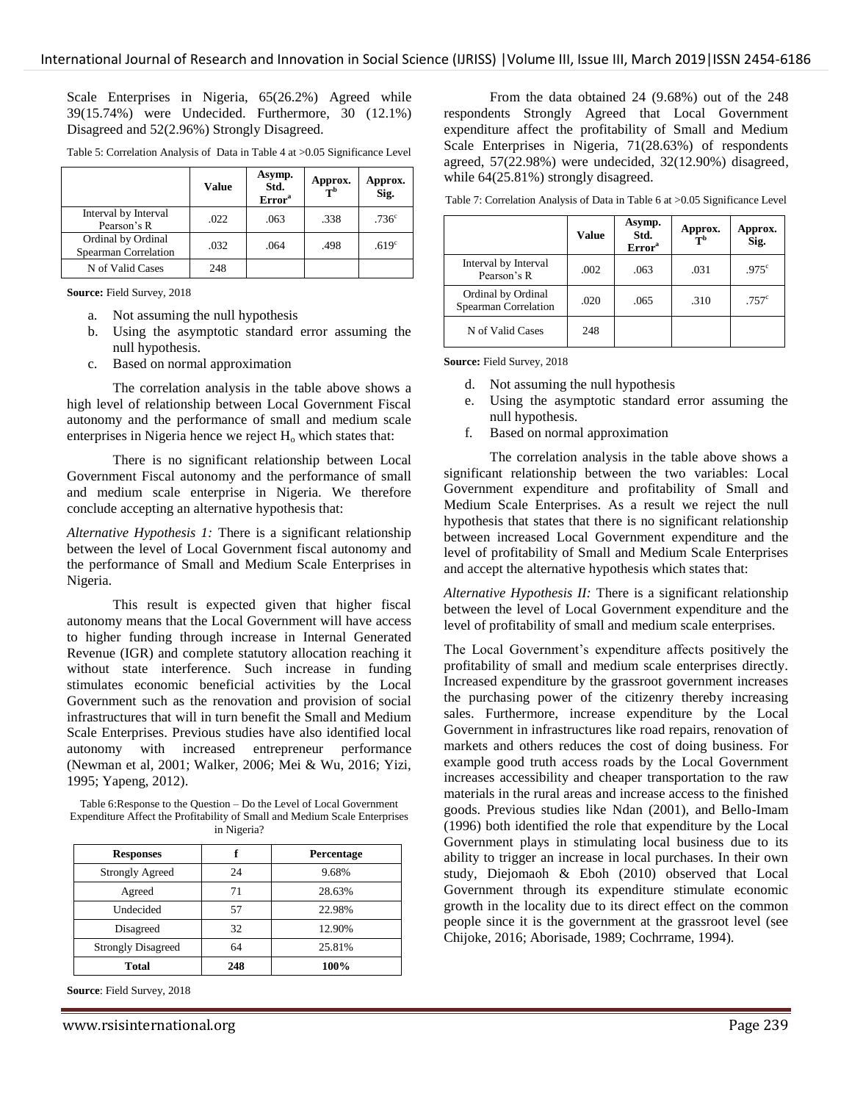Scale Enterprises in Nigeria, 65(26.2%) Agreed while 39(15.74%) were Undecided. Furthermore, 30 (12.1%) Disagreed and 52(2.96%) Strongly Disagreed.

|                                            | <b>Value</b> | Asymp.<br>Std.<br>Error <sup>a</sup> | Approx.<br>T <sub>b</sub> | Approx.<br>Sig.   |
|--------------------------------------------|--------------|--------------------------------------|---------------------------|-------------------|
| Interval by Interval<br>Pearson's R        | .022         | .063                                 | .338                      | .736 <sup>c</sup> |
| Ordinal by Ordinal<br>Spearman Correlation | .032         | .064                                 | .498                      | .619 <sup>c</sup> |
| N of Valid Cases                           | 248          |                                      |                           |                   |

Table 5: Correlation Analysis of Data in Table 4 at >0.05 Significance Level

**Source:** Field Survey, 2018

- a. Not assuming the null hypothesis
- b. Using the asymptotic standard error assuming the null hypothesis.
- c. Based on normal approximation

The correlation analysis in the table above shows a high level of relationship between Local Government Fiscal autonomy and the performance of small and medium scale enterprises in Nigeria hence we reject  $H_0$  which states that:

There is no significant relationship between Local Government Fiscal autonomy and the performance of small and medium scale enterprise in Nigeria. We therefore conclude accepting an alternative hypothesis that:

*Alternative Hypothesis 1:* There is a significant relationship between the level of Local Government fiscal autonomy and the performance of Small and Medium Scale Enterprises in Nigeria.

This result is expected given that higher fiscal autonomy means that the Local Government will have access to higher funding through increase in Internal Generated Revenue (IGR) and complete statutory allocation reaching it without state interference. Such increase in funding stimulates economic beneficial activities by the Local Government such as the renovation and provision of social infrastructures that will in turn benefit the Small and Medium Scale Enterprises. Previous studies have also identified local autonomy with increased entrepreneur performance (Newman et al, 2001; Walker, 2006; Mei & Wu, 2016; Yizi, 1995; Yapeng, 2012).

Table 6:Response to the Question – Do the Level of Local Government Expenditure Affect the Profitability of Small and Medium Scale Enterprises in Nigeria?

| <b>Responses</b>          |     | Percentage |
|---------------------------|-----|------------|
| <b>Strongly Agreed</b>    | 24  | 9.68%      |
| Agreed                    | 71  | 28.63%     |
| Undecided                 | 57  | 22.98%     |
| Disagreed                 | 32  | 12.90%     |
| <b>Strongly Disagreed</b> | 64  | 25.81%     |
| <b>Total</b>              | 248 | 100%       |

**Source**: Field Survey, 2018

From the data obtained 24 (9.68%) out of the 248 respondents Strongly Agreed that Local Government expenditure affect the profitability of Small and Medium Scale Enterprises in Nigeria, 71(28.63%) of respondents agreed, 57(22.98%) were undecided, 32(12.90%) disagreed, while  $64(25.81\%)$  strongly disagreed.

Table 7: Correlation Analysis of Data in Table 6 at >0.05 Significance Level

|                                            | <b>Value</b> | Asymp.<br>Std.<br>Error <sup>a</sup> | Approx.<br>$\bar{\bf r}$ | Approx.<br>Sig.   |
|--------------------------------------------|--------------|--------------------------------------|--------------------------|-------------------|
| Interval by Interval<br>Pearson's R        | .002         | .063                                 | .031                     | .975 <sup>c</sup> |
| Ordinal by Ordinal<br>Spearman Correlation | .020         | .065                                 | .310                     | .757 <sup>c</sup> |
| N of Valid Cases                           | 248          |                                      |                          |                   |

**Source:** Field Survey, 2018

- d. Not assuming the null hypothesis
- e. Using the asymptotic standard error assuming the null hypothesis.
- f. Based on normal approximation

The correlation analysis in the table above shows a significant relationship between the two variables: Local Government expenditure and profitability of Small and Medium Scale Enterprises. As a result we reject the null hypothesis that states that there is no significant relationship between increased Local Government expenditure and the level of profitability of Small and Medium Scale Enterprises and accept the alternative hypothesis which states that:

*Alternative Hypothesis II:* There is a significant relationship between the level of Local Government expenditure and the level of profitability of small and medium scale enterprises.

The Local Government's expenditure affects positively the profitability of small and medium scale enterprises directly. Increased expenditure by the grassroot government increases the purchasing power of the citizenry thereby increasing sales. Furthermore, increase expenditure by the Local Government in infrastructures like road repairs, renovation of markets and others reduces the cost of doing business. For example good truth access roads by the Local Government increases accessibility and cheaper transportation to the raw materials in the rural areas and increase access to the finished goods. Previous studies like Ndan (2001), and Bello-Imam (1996) both identified the role that expenditure by the Local Government plays in stimulating local business due to its ability to trigger an increase in local purchases. In their own study, Diejomaoh & Eboh (2010) observed that Local Government through its expenditure stimulate economic growth in the locality due to its direct effect on the common people since it is the government at the grassroot level (see Chijoke, 2016; Aborisade, 1989; Cochrrame, 1994).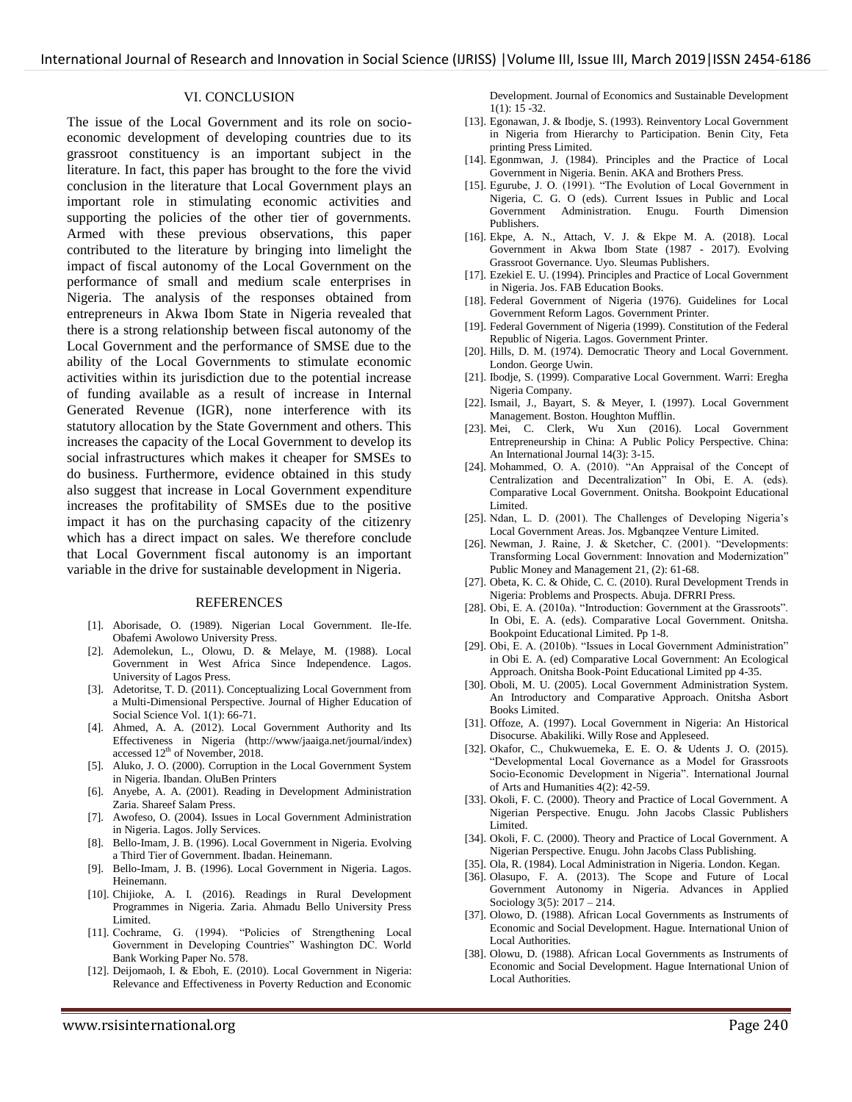#### VI. CONCLUSION

The issue of the Local Government and its role on socioeconomic development of developing countries due to its grassroot constituency is an important subject in the literature. In fact, this paper has brought to the fore the vivid conclusion in the literature that Local Government plays an important role in stimulating economic activities and supporting the policies of the other tier of governments. Armed with these previous observations, this paper contributed to the literature by bringing into limelight the impact of fiscal autonomy of the Local Government on the performance of small and medium scale enterprises in Nigeria. The analysis of the responses obtained from entrepreneurs in Akwa Ibom State in Nigeria revealed that there is a strong relationship between fiscal autonomy of the Local Government and the performance of SMSE due to the ability of the Local Governments to stimulate economic activities within its jurisdiction due to the potential increase of funding available as a result of increase in Internal Generated Revenue (IGR), none interference with its statutory allocation by the State Government and others. This increases the capacity of the Local Government to develop its social infrastructures which makes it cheaper for SMSEs to do business. Furthermore, evidence obtained in this study also suggest that increase in Local Government expenditure increases the profitability of SMSEs due to the positive impact it has on the purchasing capacity of the citizenry which has a direct impact on sales. We therefore conclude that Local Government fiscal autonomy is an important variable in the drive for sustainable development in Nigeria.

#### **REFERENCES**

- [1]. Aborisade, O. (1989). Nigerian Local Government. Ile-Ife. Obafemi Awolowo University Press.
- [2]. Ademolekun, L., Olowu, D. & Melaye, M. (1988). Local Government in West Africa Since Independence. Lagos. University of Lagos Press.
- [3]. Adetoritse, T. D. (2011). Conceptualizing Local Government from a Multi-Dimensional Perspective. Journal of Higher Education of Social Science Vol. 1(1): 66-71.
- [4]. Ahmed, A. A. (2012). Local Government Authority and Its Effectiveness in Nigeria [\(http://www/jaaiga.net/journal/index\)](http://www/jaaiga.net/journal/index) accessed 12<sup>th</sup> of November, 2018.
- [5]. Aluko, J. O. (2000). Corruption in the Local Government System in Nigeria. Ibandan. OluBen Printers
- [6]. Anyebe, A. A. (2001). Reading in Development Administration Zaria. Shareef Salam Press.
- [7]. Awofeso, O. (2004). Issues in Local Government Administration in Nigeria. Lagos. Jolly Services.
- [8]. Bello-Imam, J. B. (1996). Local Government in Nigeria. Evolving a Third Tier of Government. Ibadan. Heinemann.
- [9]. Bello-Imam, J. B. (1996). Local Government in Nigeria. Lagos. Heinemann.
- [10]. Chijioke, A. I. (2016). Readings in Rural Development Programmes in Nigeria. Zaria. Ahmadu Bello University Press Limited.
- [11]. Cochrame, G. (1994). "Policies of Strengthening Local Government in Developing Countries" Washington DC. World Bank Working Paper No. 578.
- [12]. Deijomaoh, I. & Eboh, E. (2010). Local Government in Nigeria: Relevance and Effectiveness in Poverty Reduction and Economic

Development. Journal of Economics and Sustainable Development 1(1): 15 -32.

- [13]. Egonawan, J. & Ibodje, S. (1993). Reinventory Local Government in Nigeria from Hierarchy to Participation. Benin City, Feta printing Press Limited.
- [14]. Egonmwan, J. (1984). Principles and the Practice of Local Government in Nigeria. Benin. AKA and Brothers Press.
- [15]. Egurube, J. O. (1991). "The Evolution of Local Government in Nigeria, C. G. O (eds). Current Issues in Public and Local Government Administration. Enugu. Fourth Dimension Publishers.
- [16]. Ekpe, A. N., Attach, V. J. & Ekpe M. A. (2018). Local Government in Akwa Ibom State (1987 - 2017). Evolving Grassroot Governance. Uyo. Sleumas Publishers.
- [17]. Ezekiel E. U. (1994). Principles and Practice of Local Government in Nigeria. Jos. FAB Education Books.
- [18]. Federal Government of Nigeria (1976). Guidelines for Local Government Reform Lagos. Government Printer.
- [19]. Federal Government of Nigeria (1999). Constitution of the Federal Republic of Nigeria. Lagos. Government Printer.
- [20]. Hills, D. M. (1974). Democratic Theory and Local Government. London. George Uwin.
- [21]. Ibodje, S. (1999). Comparative Local Government. Warri: Eregha Nigeria Company.
- [22]. Ismail, J., Bayart, S. & Meyer, I. (1997). Local Government Management. Boston. Houghton Mufflin.
- [23]. Mei, C. Clerk, Wu Xun (2016). Local Government Entrepreneurship in China: A Public Policy Perspective. China: An International Journal 14(3): 3-15.
- [24]. Mohammed, O. A. (2010). "An Appraisal of the Concept of Centralization and Decentralization" In Obi, E. A. (eds). Comparative Local Government. Onitsha. Bookpoint Educational Limited.
- [25]. Ndan, L. D. (2001). The Challenges of Developing Nigeria's Local Government Areas. Jos. Mgbanqzee Venture Limited.
- [26]. Newman, J. Raine, J. & Sketcher, C. (2001). "Developments: Transforming Local Government: Innovation and Modernization" Public Money and Management 21, (2): 61-68.
- [27]. Obeta, K. C. & Ohide, C. C. (2010). Rural Development Trends in Nigeria: Problems and Prospects. Abuja. DFRRI Press.
- [28]. Obi, E. A. (2010a). "Introduction: Government at the Grassroots". In Obi, E. A. (eds). Comparative Local Government. Onitsha. Bookpoint Educational Limited. Pp 1-8.
- [29]. Obi, E. A. (2010b). "Issues in Local Government Administration" in Obi E. A. (ed) Comparative Local Government: An Ecological Approach. Onitsha Book-Point Educational Limited pp 4-35.
- [30]. Oboli, M. U. (2005). Local Government Administration System. An Introductory and Comparative Approach. Onitsha Asbort Books Limited.
- [31]. Offoze, A. (1997). Local Government in Nigeria: An Historical Disocurse. Abakiliki. Willy Rose and Appleseed.
- [32]. Okafor, C., Chukwuemeka, E. E. O. & Udents J. O. (2015). "Developmental Local Governance as a Model for Grassroots Socio-Economic Development in Nigeria". International Journal of Arts and Humanities 4(2): 42-59.
- [33]. Okoli, F. C. (2000). Theory and Practice of Local Government. A Nigerian Perspective. Enugu. John Jacobs Classic Publishers Limited.
- [34]. Okoli, F. C. (2000). Theory and Practice of Local Government. A Nigerian Perspective. Enugu. John Jacobs Class Publishing.
- [35]. Ola, R. (1984). Local Administration in Nigeria. London. Kegan.
- [36]. Olasupo, F. A. (2013). The Scope and Future of Local Government Autonomy in Nigeria. Advances in Applied Sociology 3(5): 2017 – 214.
- [37]. Olowo, D. (1988). African Local Governments as Instruments of Economic and Social Development. Hague. International Union of Local Authorities.
- [38]. Olowu, D. (1988). African Local Governments as Instruments of Economic and Social Development. Hague International Union of Local Authorities.